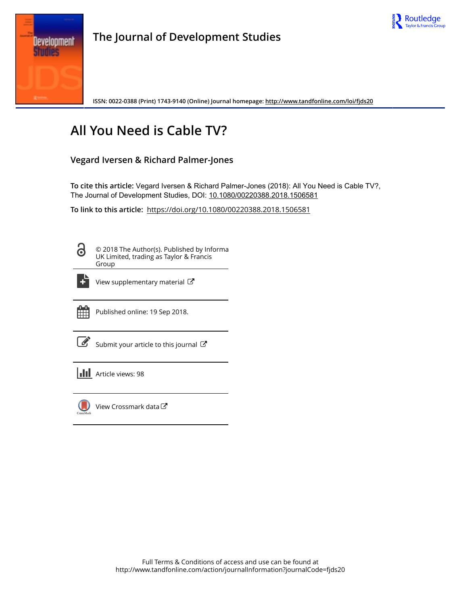



**The Journal of Development Studies**

**ISSN: 0022-0388 (Print) 1743-9140 (Online) Journal homepage:<http://www.tandfonline.com/loi/fjds20>**

# **All You Need is Cable TV?**

## **Vegard Iversen & Richard Palmer-Jones**

**To cite this article:** Vegard Iversen & Richard Palmer-Jones (2018): All You Need is Cable TV?, The Journal of Development Studies, DOI: [10.1080/00220388.2018.1506581](http://www.tandfonline.com/action/showCitFormats?doi=10.1080/00220388.2018.1506581)

**To link to this article:** <https://doi.org/10.1080/00220388.2018.1506581>

3

© 2018 The Author(s). Published by Informa UK Limited, trading as Taylor & Francis Group



[View supplementary material](http://www.tandfonline.com/doi/suppl/10.1080/00220388.2018.1506581) C



Published online: 19 Sep 2018.

| I<br>۰. |
|---------|
|---------|

[Submit your article to this journal](http://www.tandfonline.com/action/authorSubmission?journalCode=fjds20&show=instructions)  $\mathbb{Z}$ 

**III** Article views: 98



[View Crossmark data](http://crossmark.crossref.org/dialog/?doi=10.1080/00220388.2018.1506581&domain=pdf&date_stamp=2018-09-19)<sup>C</sup>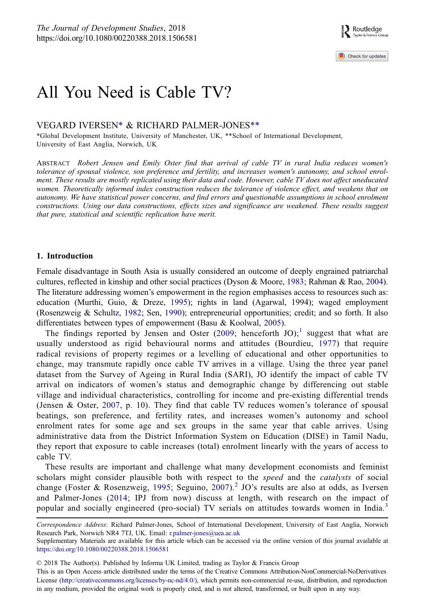## <span id="page-1-0"></span>All You Need is Cable TV?

## VEGARD IVERSEN\* & RICHARD PALMER-JONES\*\*

\*Global Development Institute, University of Manchester, UK, \*\*School of International Development, University of East Anglia, Norwich, UK

ABSTRACT Robert Jensen and Emily Oster find that arrival of cable TV in rural India reduces women's tolerance of spousal violence, son preference and fertility, and increases women's autonomy, and school enrolment. These results are mostly replicated using their data and code. However, cable TV does not affect uneducated women. Theoretically informed index construction reduces the tolerance of violence effect, and weakens that on autonomy. We have statistical power concerns, and find errors and questionable assumptions in school enrolment constructions. Using our data constructions, effects sizes and significance are weakened. These results suggest that pure, statistical and scientific replication have merit.

## 1. Introduction

Female disadvantage in South Asia is usually considered an outcome of deeply engrained patriarchal cultures, reflected in kinship and other social practices (Dyson & Moore, [1983](#page-20-0); Rahman & Rao, [2004\)](#page-21-0). The literature addressing women's empowerment in the region emphasises access to resources such as: education (Murthi, Guio, & Dreze, [1995\)](#page-21-0); rights in land (Agarwal, 1994); waged employment (Rosenzweig & Schultz, [1982](#page-21-0); Sen, [1990](#page-21-0)); entrepreneurial opportunities; credit; and so forth. It also differentiates between types of empowerment (Basu & Koolwal, [2005](#page-20-0)).

The findings reported by Jensen and Oster [\(2009](#page-21-0); henceforth JO);<sup>[1](#page-18-0)</sup> suggest that what are usually understood as rigid behavioural norms and attitudes (Bourdieu, [1977\)](#page-20-0) that require radical revisions of property regimes or a levelling of educational and other opportunities to change, may transmute rapidly once cable TV arrives in a village. Using the three year panel dataset from the Survey of Ageing in Rural India (SARI), JO identify the impact of cable TV arrival on indicators of women's status and demographic change by differencing out stable village and individual characteristics, controlling for income and pre-existing differential trends (Jensen & Oster, [2007](#page-21-0), p. 10). They find that cable TV reduces women's tolerance of spousal beatings, son preference, and fertility rates, and increases women's autonomy and school enrolment rates for some age and sex groups in the same year that cable arrives. Using administrative data from the District Information System on Education (DISE) in Tamil Nadu, they report that exposure to cable increases (total) enrolment linearly with the years of access to cable TV.

These results are important and challenge what many development economists and feminist scholars might consider plausible both with respect to the *speed* and the *catalysts* of social change (Foster & Rosenzweig, [1995](#page-20-0); Seguino, [2007](#page-21-0)).<sup>[2](#page-18-0)</sup> JO's results are also at odds, as Iversen and Palmer-Jones [\(2014](#page-21-0); IPJ from now) discuss at length, with research on the impact of popular and socially engineered (pro-social) TV serials on attitudes towards women in India.<sup>[3](#page-18-0)</sup>

© 2018 The Author(s). Published by Informa UK Limited, trading as Taylor & Francis Group

This is an Open Access article distributed under the terms of the Creative Commons Attribution-NonCommercial-NoDerivatives License (http://creativecommons.org/licenses/by-nc-nd/4.0/), which permits non-commercial re-use, distribution, and reproduction in any medium, provided the original work is properly cited, and is not altered, transformed, or built upon in any way.

Correspondence Address: Richard Palmer-Jones, School of International Development, University of East Anglia, Norwich Research Park, Norwich NR4 7TJ, UK. Email: r.palmer-jones@uea.ac.uk

Supplementary Materials are available for this article which can be accessed via the online version of this journal available at <https://doi.org/10.1080/00220388.2018.1506581>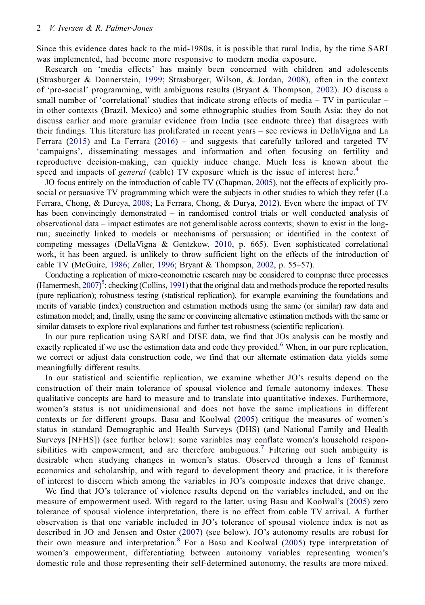<span id="page-2-0"></span>Since this evidence dates back to the mid-1980s, it is possible that rural India, by the time SARI was implemented, had become more responsive to modern media exposure.

Research on 'media effects' has mainly been concerned with children and adolescents (Strasburger & Donnerstein, [1999;](#page-21-0) Strasburger, Wilson, & Jordan, [2008\)](#page-21-0), often in the context of 'pro-social' programming, with ambiguous results (Bryant & Thompson, [2002](#page-20-0)). JO discuss a small number of 'correlational' studies that indicate strong effects of media  $- TV$  in particular  $$ in other contexts (Brazil, Mexico) and some ethnographic studies from South Asia: they do not discuss earlier and more granular evidence from India (see endnote three) that disagrees with their findings. This literature has proliferated in recent years – see reviews in DellaVigna and La Ferrara [\(2015](#page-20-0)) and La Ferrara ([2016](#page-21-0)) – and suggests that carefully tailored and targeted TV 'campaigns', disseminating messages and information and often focusing on fertility and reproductive decision-making, can quickly induce change. Much less is known about the speed and impacts of *general* (cable) TV exposure which is the issue of interest here.<sup>[4](#page-18-0)</sup>

JO focus entirely on the introduction of cable TV (Chapman, [2005\)](#page-20-0), not the effects of explicitly prosocial or persuasive TV programming which were the subjects in other studies to which they refer (La Ferrara, Chong, & Dureya, [2008](#page-21-0); La Ferrara, Chong, & Durya, [2012](#page-21-0)). Even where the impact of TV has been convincingly demonstrated – in randomised control trials or well conducted analysis of observational data – impact estimates are not generalisable across contexts; shown to exist in the longrun; succinctly linked to models or mechanisms of persuasion; or identified in the context of competing messages (DellaVigna & Gentzkow, [2010](#page-20-0), p. 665). Even sophisticated correlational work, it has been argued, is unlikely to throw sufficient light on the effects of the introduction of cable TV (McGuire, [1986;](#page-21-0) Zaller, [1996;](#page-21-0) Bryant & Thompson, [2002,](#page-20-0) p. 55–57).

Conducting a replication of micro-econometric research may be considered to comprise three processes (Hamermesh,  $2007$ )<sup>[5](#page-18-0)</sup>: checking (Collins, [1991](#page-20-0)) that the original data and methods produce the reported results (pure replication); robustness testing (statistical replication), for example examining the foundations and merits of variable (index) construction and estimation methods using the same (or similar) raw data and estimation model; and, finally, using the same or convincing alternative estimation methods with the same or similar datasets to explore rival explanations and further test robustness (scientific replication).

In our pure replication using SARI and DISE data, we find that JOs analysis can be mostly and exactly replicated if we use the estimation data and code they provided.<sup>[6](#page-18-0)</sup> When, in our pure replication, we correct or adjust data construction code, we find that our alternate estimation data yields some meaningfully different results.

In our statistical and scientific replication, we examine whether JO's results depend on the construction of their main tolerance of spousal violence and female autonomy indexes. These qualitative concepts are hard to measure and to translate into quantitative indexes. Furthermore, women's status is not unidimensional and does not have the same implications in different contexts or for different groups. Basu and Koolwal [\(2005](#page-20-0)) critique the measures of women's status in standard Demographic and Health Surveys (DHS) (and National Family and Health Surveys [NFHS]) (see further below): some variables may conflate women's household respon-sibilities with empowerment, and are therefore ambiguous.<sup>[7](#page-18-0)</sup> Filtering out such ambiguity is desirable when studying changes in women's status. Observed through a lens of feminist economics and scholarship, and with regard to development theory and practice, it is therefore of interest to discern which among the variables in JO's composite indexes that drive change.

We find that JO's tolerance of violence results depend on the variables included, and on the measure of empowerment used. With regard to the latter, using Basu and Koolwal's ([2005](#page-20-0)) zero tolerance of spousal violence interpretation, there is no effect from cable TV arrival. A further observation is that one variable included in JO's tolerance of spousal violence index is not as described in JO and Jensen and Oster [\(2007](#page-21-0)) (see below). JO's autonomy results are robust for their own measure and interpretation.<sup>[8](#page-18-0)</sup> For a Basu and Koolwal ([2005](#page-20-0)) type interpretation of women's empowerment, differentiating between autonomy variables representing women's domestic role and those representing their self-determined autonomy, the results are more mixed.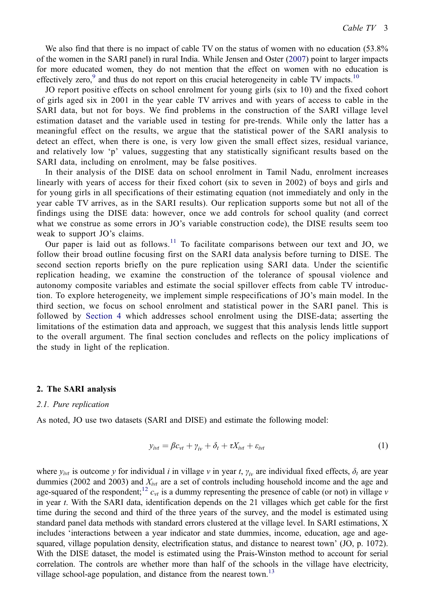We also find that there is no impact of cable TV on the status of women with no education (53.8%) of the women in the SARI panel) in rural India. While Jensen and Oster [\(2007](#page-21-0)) point to larger impacts for more educated women, they do not mention that the effect on women with no education is effectively zero, $9$  and thus do not report on this crucial heterogeneity in cable TV impacts.<sup>[10](#page-18-0)</sup>

JO report positive effects on school enrolment for young girls (six to 10) and the fixed cohort of girls aged six in 2001 in the year cable TV arrives and with years of access to cable in the SARI data, but not for boys. We find problems in the construction of the SARI village level estimation dataset and the variable used in testing for pre-trends. While only the latter has a meaningful effect on the results, we argue that the statistical power of the SARI analysis to detect an effect, when there is one, is very low given the small effect sizes, residual variance, and relatively low 'p' values, suggesting that any statistically significant results based on the SARI data, including on enrolment, may be false positives.

In their analysis of the DISE data on school enrolment in Tamil Nadu, enrolment increases linearly with years of access for their fixed cohort (six to seven in 2002) of boys and girls and for young girls in all specifications of their estimating equation (not immediately and only in the year cable TV arrives, as in the SARI results). Our replication supports some but not all of the findings using the DISE data: however, once we add controls for school quality (and correct what we construe as some errors in JO's variable construction code), the DISE results seem too weak to support JO's claims.

Our paper is laid out as follows.<sup>[11](#page-18-0)</sup> To facilitate comparisons between our text and JO, we follow their broad outline focusing first on the SARI data analysis before turning to DISE. The second section reports briefly on the pure replication using SARI data. Under the scientific replication heading, we examine the construction of the tolerance of spousal violence and autonomy composite variables and estimate the social spillover effects from cable TV introduction. To explore heterogeneity, we implement simple respecifications of JO's main model. In the third section, we focus on school enrolment and statistical power in the SARI panel. This is followed by [Section 4](#page-14-0) which addresses school enrolment using the DISE-data; asserting the limitations of the estimation data and approach, we suggest that this analysis lends little support to the overall argument. The final section concludes and reflects on the policy implications of the study in light of the replication.

## 2. The SARI analysis

### 2.1. Pure replication

As noted, JO use two datasets (SARI and DISE) and estimate the following model:

$$
y_{ivt} = \beta c_{vt} + \gamma_{iv} + \delta_t + \tau X_{ivt} + \varepsilon_{ivt}
$$
 (1)

where  $y_{ivt}$  is outcome y for individual i in village v in year t,  $y_{iv}$  are individual fixed effects,  $\delta_t$  are year dummies (2002 and 2003) and  $X_{ivt}$  are a set of controls including household income and the age and age-squared of the respondent;<sup>[12](#page-18-0)</sup>  $c_{vt}$  is a dummy representing the presence of cable (or not) in village v in year t. With the SARI data, identification depends on the 21 villages which get cable for the first time during the second and third of the three years of the survey, and the model is estimated using standard panel data methods with standard errors clustered at the village level. In SARI estimations, X includes 'interactions between a year indicator and state dummies, income, education, age and agesquared, village population density, electrification status, and distance to nearest town' (JO, p. 1072). With the DISE dataset, the model is estimated using the Prais-Winston method to account for serial correlation. The controls are whether more than half of the schools in the village have electricity, village school-age population, and distance from the nearest town.<sup>[13](#page-18-0)</sup>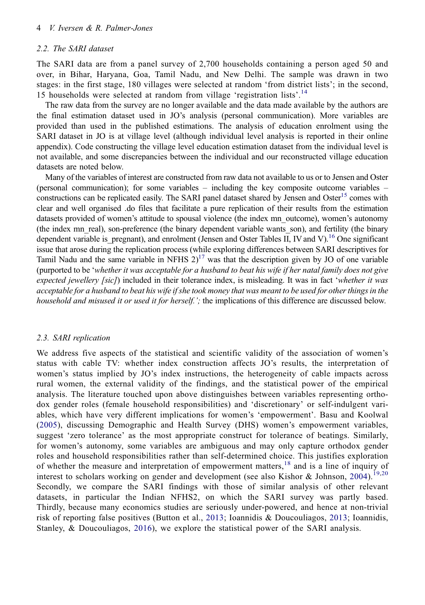## <span id="page-4-0"></span>2.2. The SARI dataset

The SARI data are from a panel survey of 2,700 households containing a person aged 50 and over, in Bihar, Haryana, Goa, Tamil Nadu, and New Delhi. The sample was drawn in two stages: in the first stage, 180 villages were selected at random 'from district lists'; in the second, 15 households were selected at random from village 'registration lists'.<sup>[14](#page-18-0)</sup>

The raw data from the survey are no longer available and the data made available by the authors are the final estimation dataset used in JO's analysis (personal communication). More variables are provided than used in the published estimations. The analysis of education enrolment using the SARI dataset in JO is at village level (although individual level analysis is reported in their online appendix). Code constructing the village level education estimation dataset from the individual level is not available, and some discrepancies between the individual and our reconstructed village education datasets are noted below.

Many of the variables of interest are constructed from raw data not available to us or to Jensen and Oster (personal communication); for some variables – including the key composite outcome variables – constructions can be replicated easily. The SARI panel dataset shared by Jensen and Oster<sup>[15](#page-18-0)</sup> comes with clear and well organised .do files that facilitate a pure replication of their results from the estimation datasets provided of women's attitude to spousal violence (the index mn\_outcome), women's autonomy (the index mn\_real), son-preference (the binary dependent variable wants\_son), and fertility (the binary dependent variable is pregnant), and enrolment (Jensen and Oster Tables II, IV and V).<sup>16</sup> One significant issue that arose during the replication process (while exploring differences between SARI descriptives for Tamil Nadu and the same variable in NFHS  $2)^{17}$  was that the description given by JO of one variable (purported to be 'whether it was acceptable for a husband to beat his wife if her natal family does not give expected jewellery [sic]) included in their tolerance index, is misleading. It was in fact 'whether it was acceptable for a husband to beat his wife if she took money that was meant to be used for other things in the household and misused it or used it for herself.'; the implications of this difference are discussed below.

## 2.3. SARI replication

We address five aspects of the statistical and scientific validity of the association of women's status with cable TV: whether index construction affects JO's results, the interpretation of women's status implied by JO's index instructions, the heterogeneity of cable impacts across rural women, the external validity of the findings, and the statistical power of the empirical analysis. The literature touched upon above distinguishes between variables representing orthodox gender roles (female household responsibilities) and 'discretionary' or self-indulgent variables, which have very different implications for women's 'empowerment'. Basu and Koolwal ([2005\)](#page-20-0), discussing Demographic and Health Survey (DHS) women's empowerment variables, suggest 'zero tolerance' as the most appropriate construct for tolerance of beatings. Similarly, for women's autonomy, some variables are ambiguous and may only capture orthodox gender roles and household responsibilities rather than self-determined choice. This justifies exploration of whether the measure and interpretation of empowerment matters,[18](#page-18-0) and is a line of inquiry of interest to scholars working on gender and development (see also Kishor & Johnson, [2004\)](#page-21-0).<sup>[19,20](#page-19-0)</sup> Secondly, we compare the SARI findings with those of similar analysis of other relevant datasets, in particular the Indian NFHS2, on which the SARI survey was partly based. Thirdly, because many economics studies are seriously under-powered, and hence at non-trivial risk of reporting false positives (Button et al., [2013;](#page-20-0) Ioannidis & Doucouliagos, [2013](#page-20-0); Ioannidis, Stanley, & Doucouliagos, [2016](#page-20-0)), we explore the statistical power of the SARI analysis.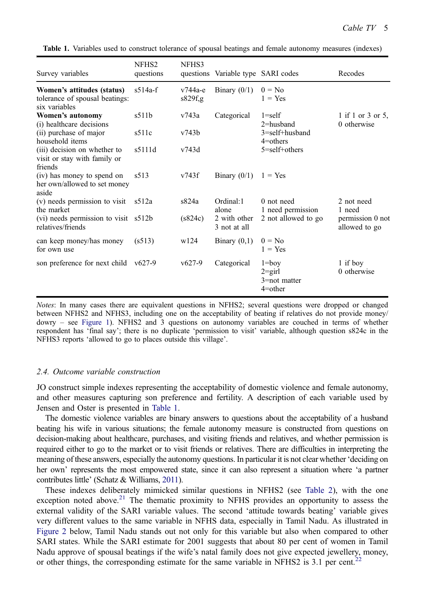| Survey variables                                                              | NFHS <sub>2</sub><br>questions | NFHS3              | questions Variable type SARI codes |                                                                 | Recodes                           |
|-------------------------------------------------------------------------------|--------------------------------|--------------------|------------------------------------|-----------------------------------------------------------------|-----------------------------------|
| Women's attitudes (status)<br>tolerance of spousal beatings:<br>six variables | $s514a-f$                      | v744a-e<br>s829f,g | Binary $(0/1)$                     | $0 = No$<br>$1 = Yes$                                           |                                   |
| Women's autonomy<br>(i) healthcare decisions                                  | s511b                          | v743a              | Categorical                        | $1 = self$<br>$2$ =husband                                      | 1 if 1 or 3 or 5,<br>0 otherwise  |
| (ii) purchase of major<br>household items                                     | s511c                          | v743b              |                                    | 3=self+husband<br>$4$ =others                                   |                                   |
| (iii) decision on whether to<br>visit or stay with family or<br>friends       | s5111d                         | v743d              |                                    | $5 = self+others$                                               |                                   |
| (iv) has money to spend on<br>her own/allowed to set money<br>aside           | s513                           | v743f              | Binary $(0/1)$                     | $1 = Yes$                                                       |                                   |
| (v) needs permission to visit<br>the market                                   | s512a                          | s824a              | Ordinal:1<br>alone                 | 0 not need<br>1 need permission                                 | 2 not need<br>1 need              |
| (vi) needs permission to visit s512b<br>relatives/friends                     | (s824c)<br>3 not at all        |                    | 2 with other                       | 2 not allowed to go                                             | permission 0 not<br>allowed to go |
| can keep money/has money<br>for own use                                       | (s513)                         | w124               | Binary $(0,1)$                     | $0 = No$<br>$1 = Yes$                                           |                                   |
| son preference for next child v627-9                                          |                                | $v627-9$           | Categorical                        | $1 = boy$<br>$2 = \text{girl}$<br>$3$ =not matter<br>$4$ =other | $1$ if boy<br>0 otherwise         |

<span id="page-5-0"></span>Table 1. Variables used to construct tolerance of spousal beatings and female autonomy measures (indexes)

Notes: In many cases there are equivalent questions in NFHS2; several questions were dropped or changed between NFHS2 and NFHS3, including one on the acceptability of beating if relatives do not provide money/ dowry – see [Figure 1](#page-6-0)). NFHS2 and 3 questions on autonomy variables are couched in terms of whether respondent has 'final say'; there is no duplicate 'permission to visit' variable, although question s824c in the NFHS3 reports 'allowed to go to places outside this village'.

#### 2.4. Outcome variable construction

JO construct simple indexes representing the acceptability of domestic violence and female autonomy, and other measures capturing son preference and fertility. A description of each variable used by Jensen and Oster is presented in Table 1.

The domestic violence variables are binary answers to questions about the acceptability of a husband beating his wife in various situations; the female autonomy measure is constructed from questions on decision-making about healthcare, purchases, and visiting friends and relatives, and whether permission is required either to go to the market or to visit friends or relatives. There are difficulties in interpreting the meaning of these answers, especially the autonomy questions. In particular it is not clear whether 'deciding on her own' represents the most empowered state, since it can also represent a situation where 'a partner contributes little' (Schatz & Williams, [2011](#page-21-0)).

These indexes deliberately mimicked similar questions in NFHS2 (see [Table 2](#page-7-0)), with the one exception noted above.<sup>[21](#page-19-0)</sup> The thematic proximity to NFHS provides an opportunity to assess the external validity of the SARI variable values. The second 'attitude towards beating' variable gives very different values to the same variable in NFHS data, especially in Tamil Nadu. As illustrated in [Figure 2](#page-13-0) below, Tamil Nadu stands out not only for this variable but also when compared to other SARI states. While the SARI estimate for 2001 suggests that about 80 per cent of women in Tamil Nadu approve of spousal beatings if the wife's natal family does not give expected jewellery, money, or other things, the corresponding estimate for the same variable in NFHS2 is 3.1 per cent.<sup>[22](#page-19-0)</sup>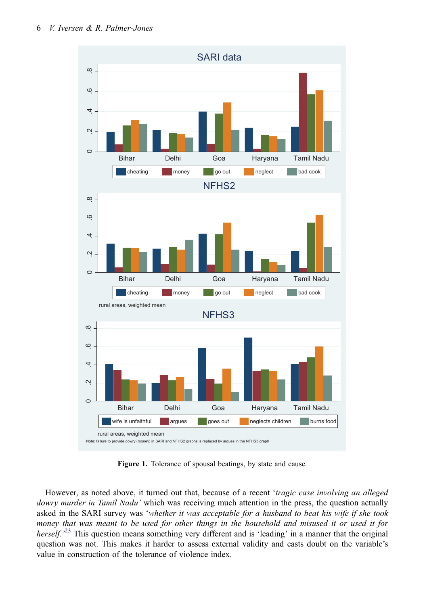<span id="page-6-0"></span>

Figure 1. Tolerance of spousal beatings, by state and cause.

However, as noted above, it turned out that, because of a recent *'tragic case involving an alleged* dowry murder in Tamil Nadu' which was receiving much attention in the press, the question actually asked in the SARI survey was 'whether it was acceptable for a husband to beat his wife if she took money that was meant to be used for other things in the household and misused it or used it for herself.<sup>[23](#page-19-0)</sup> This question means something very different and is 'leading' in a manner that the original question was not. This makes it harder to assess external validity and casts doubt on the variable's value in construction of the tolerance of violence index.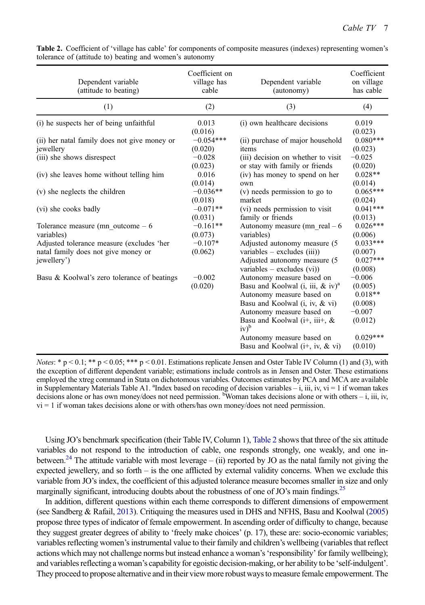| Dependent variable<br>(attitude to beating)                                                     | Coefficient on<br>village has<br>cable | Dependent variable<br>(autonomy)                                                                                                                                                                                                                                                           | Coefficient<br>on village<br>has cable                                                      |
|-------------------------------------------------------------------------------------------------|----------------------------------------|--------------------------------------------------------------------------------------------------------------------------------------------------------------------------------------------------------------------------------------------------------------------------------------------|---------------------------------------------------------------------------------------------|
| (1)                                                                                             | (2)                                    | (3)                                                                                                                                                                                                                                                                                        | (4)                                                                                         |
| (i) he suspects her of being unfaithful                                                         | 0.013<br>(0.016)                       | (i) own healthcare decisions                                                                                                                                                                                                                                                               | 0.019<br>(0.023)                                                                            |
| (ii) her natal family does not give money or                                                    | $-0.054***$                            | (ii) purchase of major household                                                                                                                                                                                                                                                           | $0.080***$                                                                                  |
| jewellery                                                                                       | (0.020)                                | items                                                                                                                                                                                                                                                                                      | (0.023)                                                                                     |
| (iii) she shows disrespect                                                                      | $-0.028$                               | (iii) decision on whether to visit                                                                                                                                                                                                                                                         | $-0.025$                                                                                    |
|                                                                                                 | (0.023)                                | or stay with family or friends                                                                                                                                                                                                                                                             | (0.020)                                                                                     |
| (iv) she leaves home without telling him                                                        | 0.016                                  | (iv) has money to spend on her                                                                                                                                                                                                                                                             | $0.028**$                                                                                   |
|                                                                                                 | (0.014)                                | own                                                                                                                                                                                                                                                                                        | (0.014)                                                                                     |
| (v) she neglects the children                                                                   | $-0.036**$                             | (v) needs permission to go to                                                                                                                                                                                                                                                              | $0.065***$                                                                                  |
|                                                                                                 | (0.018)                                | market                                                                                                                                                                                                                                                                                     | (0.024)                                                                                     |
| (vi) she cooks badly                                                                            | $-0.071**$                             | (vi) needs permission to visit                                                                                                                                                                                                                                                             | $0.041***$                                                                                  |
|                                                                                                 | (0.031)                                | family or friends                                                                                                                                                                                                                                                                          | (0.013)                                                                                     |
| Tolerance measure (mn outcome $-6$ )                                                            | $-0.161**$                             | Autonomy measure (mn real $-6$ )                                                                                                                                                                                                                                                           | $0.026***$                                                                                  |
| variables)                                                                                      | (0.073)                                | variables)                                                                                                                                                                                                                                                                                 | (0.006)                                                                                     |
| Adjusted tolerance measure (excludes 'her<br>natal family does not give money or<br>jewellery') | $-0.107*$<br>(0.062)                   | Adjusted autonomy measure (5)<br>variables $-$ excludes (iii))<br>Adjusted autonomy measure (5)<br>variables – excludes $(vi)$                                                                                                                                                             | $0.033***$<br>(0.007)<br>$0.027***$<br>(0.008)                                              |
| Basu & Koolwal's zero tolerance of beatings                                                     | $-0.002$<br>(0.020)                    | Autonomy measure based on<br>Basu and Koolwal (i, iii, $\&$ iv) <sup>a</sup><br>Autonomy measure based on<br>Basu and Koolwal (i, iv, & vi)<br>Autonomy measure based on<br>Basu and Koolwal $(i^+, i^+$ , &<br>$iv)^b$<br>Autonomy measure based on<br>Basu and Koolwal $(i+$ , iv, & vi) | $-0.006$<br>(0.005)<br>$0.018**$<br>(0.008)<br>$-0.007$<br>(0.012)<br>$0.029***$<br>(0.010) |

<span id="page-7-0"></span>Table 2. Coefficient of 'village has cable' for components of composite measures (indexes) representing women's tolerance of (attitude to) beating and women's autonomy

*Notes*: \*  $p < 0.1$ ; \*\*  $p < 0.05$ ; \*\*\*  $p < 0.01$ . Estimations replicate Jensen and Oster Table IV Column (1) and (3), with the exception of different dependent variable; estimations include controls as in Jensen and Oster. These estimations employed the xtreg command in Stata on dichotomous variables. Outcomes estimates by PCA and MCA are available in Supplementary Materials Table A1. <sup>a</sup>Index based on recoding of decision variables  $-$ i, iii, iv, vi = 1 if woman takes decisions alone or has own money/does not need permission. <sup>b</sup>Woman takes decisions alone or with others – i, iii, iv,  $vi = 1$  if woman takes decisions alone or with others/has own money/does not need permission.

Using JO's benchmark specification (their Table IV, Column 1), Table 2 shows that three of the six attitude variables do not respond to the introduction of cable, one responds strongly, one weakly, and one inbetween.<sup>24</sup> The attitude variable with most leverage – (ii) reported by JO as the natal family not giving the expected jewellery, and so forth – is the one afflicted by external validity concerns. When we exclude this variable from JO's index, the coefficient of this adjusted tolerance measure becomes smaller in size and only marginally significant, introducing doubts about the robustness of one of JO's main findings.<sup>25</sup>

In addition, different questions within each theme corresponds to different dimensions of empowerment (see Sandberg & Rafail, [2013\)](#page-21-0). Critiquing the measures used in DHS and NFHS, Basu and Koolwal [\(2005](#page-20-0)) propose three types of indicator of female empowerment. In ascending order of difficulty to change, because they suggest greater degrees of ability to 'freely make choices' (p. 17), these are: socio-economic variables; variables reflecting women's instrumental value to their family and children's wellbeing (variables that reflect actions which may not challenge norms but instead enhance a woman's'responsibility' for family wellbeing); and variables reflecting a woman's capability for egoistic decision-making, or her ability to be 'self-indulgent'. They proceed to propose alternative and in their view more robust ways to measure female empowerment. The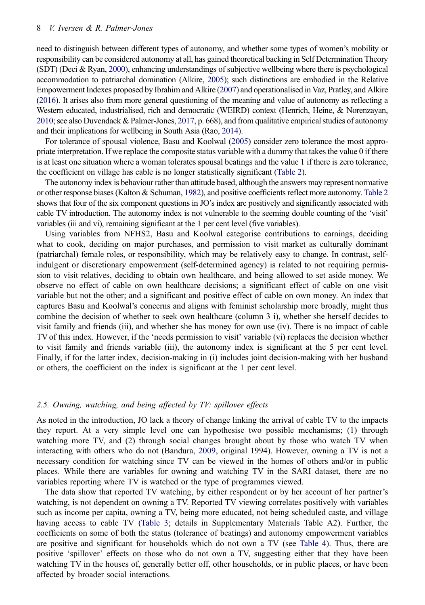### <span id="page-8-0"></span>8 V. Iversen & R. Palmer-Jones

need to distinguish between different types of autonomy, and whether some types of women's mobility or responsibility can be considered autonomy at all, has gained theoretical backing in Self Determination Theory (SDT) (Deci & Ryan, [2000](#page-20-0)), enhancing understandings of subjective wellbeing where there is psychological accommodation to patriarchal domination (Alkire, [2005](#page-20-0)); such distinctions are embodied in the Relative Empowerment Indexes proposed by Ibrahim and Alkire [\(2007](#page-20-0)) and operationalised in Vaz, Pratley, and Alkire ([2016\)](#page-21-0). It arises also from more general questioning of the meaning and value of autonomy as reflecting a Western educated, industrialised, rich and democratic (WEIRD) context (Henrich, Heine, & Norenzayan, [2010;](#page-20-0) see also Duvendack & Palmer-Jones, [2017,](#page-20-0) p. 668), and from qualitative empirical studies of autonomy and their implications for wellbeing in South Asia (Rao, [2014\)](#page-21-0).

For tolerance of spousal violence, Basu and Koolwal ([2005](#page-20-0)) consider zero tolerance the most appropriate interpretation. If we replace the composite status variable with a dummy that takes the value 0 if there is at least one situation where a woman tolerates spousal beatings and the value 1 if there is zero tolerance, the coefficient on village has cable is no longer statistically significant ([Table 2\)](#page-7-0).

The autonomy index is behaviour rather than attitude based, although the answers may represent normative or other response biases (Kalton & Schuman, [1982](#page-21-0)), and positive coefficients reflect more autonomy. [Table 2](#page-7-0) shows that four of the six component questions in JO's index are positively and significantly associated with cable TV introduction. The autonomy index is not vulnerable to the seeming double counting of the 'visit' variables (iii and vi), remaining significant at the 1 per cent level (five variables).

Using variables from NFHS2, Basu and Koolwal categorise contributions to earnings, deciding what to cook, deciding on major purchases, and permission to visit market as culturally dominant (patriarchal) female roles, or responsibility, which may be relatively easy to change. In contrast, selfindulgent or discretionary empowerment (self-determined agency) is related to not requiring permission to visit relatives, deciding to obtain own healthcare, and being allowed to set aside money. We observe no effect of cable on own healthcare decisions; a significant effect of cable on one visit variable but not the other; and a significant and positive effect of cable on own money. An index that captures Basu and Koolwal's concerns and aligns with feminist scholarship more broadly, might thus combine the decision of whether to seek own healthcare (column 3 i), whether she herself decides to visit family and friends (iii), and whether she has money for own use (iv). There is no impact of cable TV of this index. However, if the 'needs permission to visit' variable (vi) replaces the decision whether to visit family and friends variable (iii), the autonomy index is significant at the 5 per cent level. Finally, if for the latter index, decision-making in (i) includes joint decision-making with her husband or others, the coefficient on the index is significant at the 1 per cent level.

## 2.5. Owning, watching, and being affected by TV: spillover effects

As noted in the introduction, JO lack a theory of change linking the arrival of cable TV to the impacts they report. At a very simple level one can hypothesise two possible mechanisms; (1) through watching more TV, and (2) through social changes brought about by those who watch TV when interacting with others who do not (Bandura, [2009,](#page-20-0) original 1994). However, owning a TV is not a necessary condition for watching since TV can be viewed in the homes of others and/or in public places. While there are variables for owning and watching TV in the SARI dataset, there are no variables reporting where TV is watched or the type of programmes viewed.

The data show that reported TV watching, by either respondent or by her account of her partner's watching, is not dependent on owning a TV. Reported TV viewing correlates positively with variables such as income per capita, owning a TV, being more educated, not being scheduled caste, and village having access to cable TV ([Table 3;](#page-9-0) details in Supplementary Materials Table A2). Further, the coefficients on some of both the status (tolerance of beatings) and autonomy empowerment variables are positive and significant for households which do not own a TV (see [Table 4\)](#page-9-0). Thus, there are positive 'spillover' effects on those who do not own a TV, suggesting either that they have been watching TV in the houses of, generally better off, other households, or in public places, or have been affected by broader social interactions.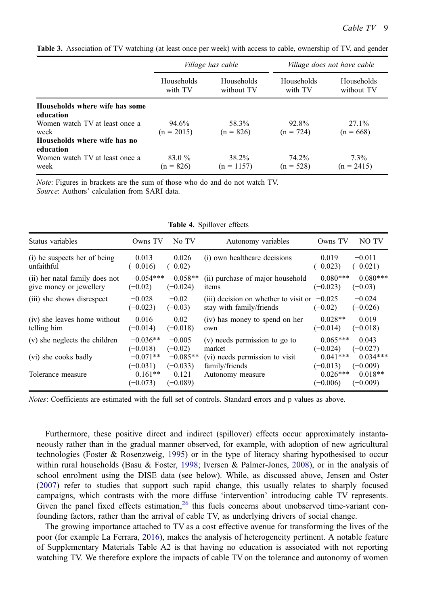|                                             |              | Village has cable | Village does not have cable |              |  |
|---------------------------------------------|--------------|-------------------|-----------------------------|--------------|--|
|                                             | Households   | Households        | Households                  | Households   |  |
|                                             | with TV      | without TV        | with TV                     | without TV   |  |
| Households where wife has some<br>education |              |                   |                             |              |  |
| Women watch TV at least once a              | 94.6%        | 58.3%             | 92.8%                       | $27.1\%$     |  |
| week                                        | $(n = 2015)$ | $(n = 826)$       | $(n = 724)$                 | $(n = 668)$  |  |
| Households where wife has no<br>education   |              |                   |                             |              |  |
| Women watch TV at least once a              | 83.0 %       | 38.2%             | 74.2%                       | $7.3\%$      |  |
| week                                        | $(n = 826)$  | $(n = 1157)$      | $(n = 528)$                 | $(n = 2415)$ |  |

<span id="page-9-0"></span>Table 3. Association of TV watching (at least once per week) with access to cable, ownership of TV, and gender

Note: Figures in brackets are the sum of those who do and do not watch TV.

Source: Authors' calculation from SARI data.

| Status variables               | Owns TV                  | No TV                  | Autonomy variables                                                         | Owns TV                | NO TV                   |
|--------------------------------|--------------------------|------------------------|----------------------------------------------------------------------------|------------------------|-------------------------|
| (i) he suspects her of being   | 0.013                    | 0.026                  | (i) own healthcare decisions                                               | 0.019                  | $-0.011$                |
| unfaithful                     | $(-0.016)$               | $(-0.02)$              |                                                                            | $(-0.023)$             | $(-0.021)$              |
| (ii) her natal family does not | $-0.054***$              | $-0.058**$             | (ii) purchase of major household                                           | $0.080***$             | $0.080***$              |
| give money or jewellery        | $(-0.02)$                | $(-0.024)$             | items                                                                      | $(-0.023)$             | $(-0.03)$               |
| (iii) she shows disrespect     | $-0.028$<br>$(-0.023)$   | $-0.02$<br>$(-0.03)$   | (iii) decision on whether to visit or $-0.025$<br>stay with family/friends | $(-0.02)$              | $-0.024$<br>$(-0.026)$  |
| (iv) she leaves home without   | 0.016                    | 0.02                   | (iv) has money to spend on her                                             | $0.028**$              | 0.019                   |
| telling him                    | $(-0.014)$               | $(-0.018)$             | own                                                                        | $(-0.014)$             | $(-0.018)$              |
| (v) she neglects the children  | $-0.036**$               | $-0.005$               | (v) needs permission to go to                                              | $0.065***$             | 0.043                   |
|                                | $(-0.018)$               | $(-0.02)$              | market                                                                     | $(-0.024)$             | $(-0.027)$              |
| (vi) she cooks badly           | $-0.071**$               | $-0.085**$             | (vi) needs permission to visit                                             | $0.041***$             | $0.034***$              |
|                                | $(-0.031)$               | $(-0.033)$             | family/friends                                                             | $(-0.013)$             | $(-0.009)$              |
| Tolerance measure              | $-0.161**$<br>$(-0.073)$ | $-0.121$<br>$(-0.089)$ | Autonomy measure                                                           | $0.026***$<br>$-0.006$ | $0.018**$<br>$(-0.009)$ |

|  | Table 4. Spillover effects |  |
|--|----------------------------|--|
|--|----------------------------|--|

Notes: Coefficients are estimated with the full set of controls. Standard errors and p values as above.

Furthermore, these positive direct and indirect (spillover) effects occur approximately instantaneously rather than in the gradual manner observed, for example, with adoption of new agricultural technologies (Foster & Rosenzweig, [1995\)](#page-20-0) or in the type of literacy sharing hypothesised to occur within rural households (Basu & Foster, [1998](#page-20-0); Iversen & Palmer-Jones, [2008](#page-21-0)), or in the analysis of school enrolment using the DISE data (see below). While, as discussed above, Jensen and Oster ([2007\)](#page-21-0) refer to studies that support such rapid change, this usually relates to sharply focused campaigns, which contrasts with the more diffuse 'intervention' introducing cable TV represents. Given the panel fixed effects estimation,<sup>[26](#page-19-0)</sup> this fuels concerns about unobserved time-variant confounding factors, rather than the arrival of cable TV, as underlying drivers of social change.

The growing importance attached to TV as a cost effective avenue for transforming the lives of the poor (for example La Ferrara, [2016](#page-21-0)), makes the analysis of heterogeneity pertinent. A notable feature of Supplementary Materials Table A2 is that having no education is associated with not reporting watching TV. We therefore explore the impacts of cable TV on the tolerance and autonomy of women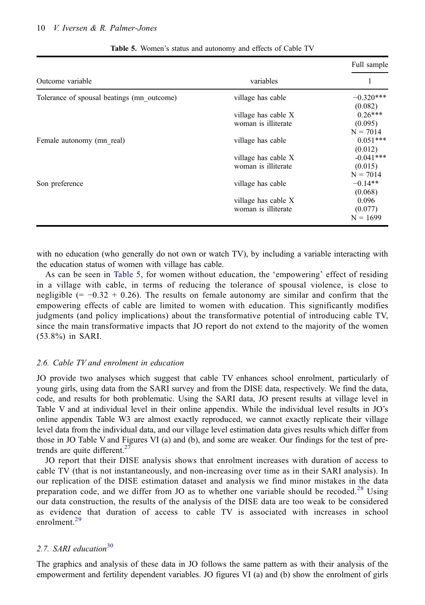|                                            |                     | Full sample            |
|--------------------------------------------|---------------------|------------------------|
| Outcome variable                           | variables           | 1                      |
| Tolerance of spousal beatings (mn outcome) | village has cable   | $-0.320***$<br>(0.082) |
|                                            | village has cable X | $0.26***$              |
|                                            | woman is illiterate | (0.095)                |
|                                            |                     | $N = 7014$             |
|                                            | village has cable   | $0.051***$             |
| Female autonomy (mn real)                  |                     | (0.012)                |
|                                            | village has cable X | $-0.041***$            |
|                                            | woman is illiterate | (0.015)                |
|                                            |                     | $N = 7014$             |
| Son preference                             | village has cable   | $-0.14**$              |
|                                            |                     | (0.068)                |
|                                            | village has cable X | 0.096                  |
|                                            | woman is illiterate | (0.077)                |
|                                            |                     | $N = 1699$             |
|                                            |                     |                        |

## Table 5. Women's status and autonomy and effects of Cable TV

with no education (who generally do not own or watch TV), by including a variable interacting with the education status of women with village has cable.

As can be seen in Table 5, for women without education, the 'empowering' effect of residing in a village with cable, in terms of reducing the tolerance of spousal violence, is close to negligible (=  $-0.32 + 0.26$ ). The results on female autonomy are similar and confirm that the empowering effects of cable are limited to women with education. This significantly modifies judgments (and policy implications) about the transformative potential of introducing cable TV, since the main transformative impacts that JO report do not extend to the majority of the women (53.8%) in SARI.

## 2.6. Cable TV and enrolment in education

JO provide two analyses which suggest that cable TV enhances school enrolment, particularly of young girls, using data from the SARI survey and from the DISE data, respectively. We find the data, code, and results for both problematic. Using the SARI data, JO present results at village level in Table V and at individual level in their online appendix. While the individual level results in JO's online appendix Table W3 are almost exactly reproduced, we cannot exactly replicate their village level data from the individual data, and our village level estimation data gives results which differ from those in JO Table V and Figures VI (a) and (b), and some are weaker. Our findings for the test of pre-trends are quite different.<sup>[27](#page-19-0)</sup>

JO report that their DISE analysis shows that enrolment increases with duration of access to cable TV (that is not instantaneously, and non-increasing over time as in their SARI analysis). In our replication of the DISE estimation dataset and analysis we find minor mistakes in the data preparation code, and we differ from JO as to whether one variable should be recoded.<sup>[28](#page-19-0)</sup> Using our data construction, the results of the analysis of the DISE data are too weak to be considered as evidence that duration of access to cable TV is associated with increases in school enrolment.<sup>[29](#page-19-0)</sup>

## 2.7. SARI education<sup>[30](#page-19-0)</sup>

The graphics and analysis of these data in JO follows the same pattern as with their analysis of the empowerment and fertility dependent variables. JO figures VI (a) and (b) show the enrolment of girls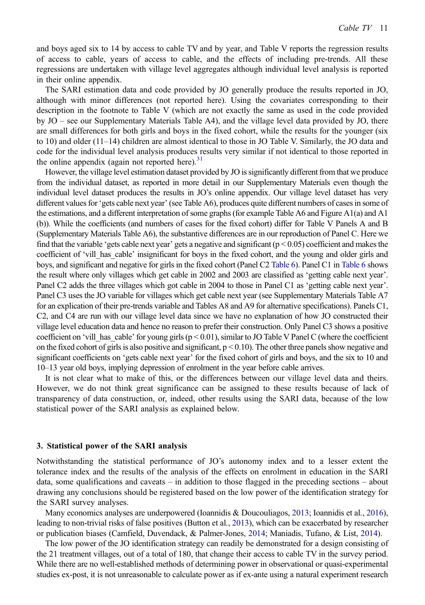<span id="page-11-0"></span>and boys aged six to 14 by access to cable TV and by year, and Table V reports the regression results of access to cable, years of access to cable, and the effects of including pre-trends. All these regressions are undertaken with village level aggregates although individual level analysis is reported in their online appendix.

The SARI estimation data and code provided by JO generally produce the results reported in JO, although with minor differences (not reported here). Using the covariates corresponding to their description in the footnote to Table V (which are not exactly the same as used in the code provided by JO – see our Supplementary Materials Table A4), and the village level data provided by JO, there are small differences for both girls and boys in the fixed cohort, while the results for the younger (six to 10) and older (11–14) children are almost identical to those in JO Table V. Similarly, the JO data and code for the individual level analysis produces results very similar if not identical to those reported in the online appendix (again not reported here). $31$ 

However, the village level estimation dataset provided by JO is significantly different from that we produce from the individual dataset, as reported in more detail in our Supplementary Materials even though the individual level dataset produces the results in JO's online appendix. Our village level dataset has very different values for 'gets cable next year' (see Table A6), produces quite different numbers of cases in some of the estimations, and a different interpretation of some graphs (for example Table A6 and Figure A1(a) and A1 (b)). While the coefficients (and numbers of cases for the fixed cohort) differ for Table V Panels A and B (Supplementary Materials Table A6), the substantive differences are in our reproduction of Panel C. Here we find that the variable 'gets cable next year' gets a negative and significant ( $p < 0.05$ ) coefficient and makes the coefficient of 'vill\_has\_cable' insignificant for boys in the fixed cohort, and the young and older girls and boys, and significant and negative for girls in the fixed cohort (Panel C2 [Table 6\)](#page-12-0). Panel C1 in [Table 6](#page-12-0) shows the result where only villages which get cable in 2002 and 2003 are classified as 'getting cable next year'. Panel C2 adds the three villages which got cable in 2004 to those in Panel C1 as 'getting cable next year'. Panel C3 uses the JO variable for villages which get cable next year (see Supplementary Materials Table A7 for an explication of their pre-trends variable and Tables A8 and A9 for alternative specifications). Panels C1, C2, and C4 are run with our village level data since we have no explanation of how JO constructed their village level education data and hence no reason to prefer their construction. Only Panel C3 shows a positive coefficient on 'vill\_has\_cable' for young girls ( $p < 0.01$ ), similar to JO Table V Panel C (where the coefficient on the fixed cohort of girls is also positive and significant,  $p < 0.10$ ). The other three panels show negative and significant coefficients on 'gets cable next year' for the fixed cohort of girls and boys, and the six to 10 and 10–13 year old boys, implying depression of enrolment in the year before cable arrives.

It is not clear what to make of this, or the differences between our village level data and theirs. However, we do not think great significance can be assigned to these results because of lack of transparency of data construction, or, indeed, other results using the SARI data, because of the low statistical power of the SARI analysis as explained below.

### 3. Statistical power of the SARI analysis

Notwithstanding the statistical performance of JO's autonomy index and to a lesser extent the tolerance index and the results of the analysis of the effects on enrolment in education in the SARI data, some qualifications and caveats – in addition to those flagged in the preceding sections – about drawing any conclusions should be registered based on the low power of the identification strategy for the SARI survey analyses.

Many economics analyses are underpowered (Ioannidis & Doucouliagos, [2013;](#page-20-0) Ioannidis et al., [2016](#page-20-0)), leading to non-trivial risks of false positives (Button et al., [2013](#page-20-0)), which can be exacerbated by researcher or publication biases (Camfield, Duvendack, & Palmer-Jones, [2014;](#page-20-0) Maniadis, Tufano, & List, [2014](#page-21-0)).

The low power of the JO identification strategy can readily be demonstrated for a design consisting of the 21 treatment villages, out of a total of 180, that change their access to cable TV in the survey period. While there are no well-established methods of determining power in observational or quasi-experimental studies ex-post, it is not unreasonable to calculate power as if ex-ante using a natural experiment research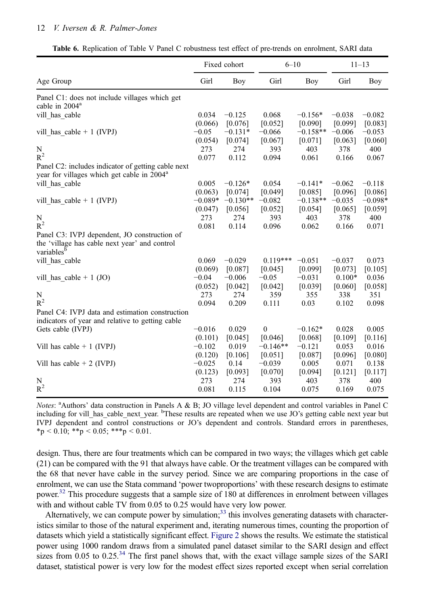## <span id="page-12-0"></span>12 V. Iversen & R. Palmer-Jones

|  |  | <b>Table 6.</b> Replication of Table V Panel C robustness test effect of pre-trends on enrolment, SARI data |  |  |  |  |  |
|--|--|-------------------------------------------------------------------------------------------------------------|--|--|--|--|--|
|--|--|-------------------------------------------------------------------------------------------------------------|--|--|--|--|--|

|                                                        | Fixed cohort |            | $6 - 10$     |            | $11 - 13$ |           |
|--------------------------------------------------------|--------------|------------|--------------|------------|-----------|-----------|
| Age Group                                              | Girl         | Boy        | Girl         | Boy        | Girl      | Boy       |
| Panel C1: does not include villages which get          |              |            |              |            |           |           |
| cable in 2004 <sup>a</sup>                             |              |            |              |            |           |           |
| vill has cable                                         | 0.034        | $-0.125$   | 0.068        | $-0.156*$  | $-0.038$  | $-0.082$  |
|                                                        | (0.066)      | [0.076]    | [0.052]      | [0.090]    | [0.099]   | [0.083]   |
| vill has cable $+ 1$ (IVPJ)                            | $-0.05$      | $-0.131*$  | $-0.066$     | $-0.158**$ | $-0.006$  | $-0.053$  |
|                                                        | (0.054)      | [0.074]    | [0.067]      | [0.071]    | [0.063]   | [0.060]   |
| N                                                      | 273          | 274        | 393          | 403        | 378       | 400       |
| $R^2$                                                  | 0.077        | 0.112      | 0.094        | 0.061      | 0.166     | 0.067     |
| Panel C2: includes indicator of getting cable next     |              |            |              |            |           |           |
| year for villages which get cable in 2004 <sup>a</sup> |              |            |              |            |           |           |
| vill has cable                                         | 0.005        | $-0.126*$  | 0.054        | $-0.141*$  | $-0.062$  | $-0.118$  |
|                                                        | (0.063)      | [0.074]    | [0.049]      | [0.085]    | [0.096]   | [0.086]   |
| vill has cable $+ 1$ (IVPJ)                            | $-0.089*$    | $-0.130**$ | $-0.082$     | $-0.138**$ | $-0.035$  | $-0.098*$ |
|                                                        | (0.047)      | [0.056]    | [0.052]      | [0.054]    | [0.065]   | [0.059]   |
| N                                                      | 273          | 274        | 393          | 403        | 378       | 400       |
| $R^2$                                                  | 0.081        | 0.114      | 0.096        | 0.062      | 0.166     | 0.071     |
| Panel C3: IVPJ dependent, JO construction of           |              |            |              |            |           |           |
| the 'village has cable next year' and control          |              |            |              |            |           |           |
| variables <sup>b</sup>                                 |              |            |              |            |           |           |
| vill has cable                                         | 0.069        | $-0.029$   | $0.119***$   | $-0.051$   | $-0.037$  | 0.073     |
|                                                        | (0.069)      | [0.087]    | [0.045]      | [0.099]    | [0.073]   | [0.105]   |
| vill has cable $+ 1$ (JO)                              | $-0.04$      | $-0.006$   | $-0.05$      | $-0.031$   | $0.100*$  | 0.036     |
|                                                        | (0.052)      | [0.042]    | [0.042]      | [0.039]    | [0.060]   | [0.058]   |
| N                                                      | 273          | 274        | 359          | 355        | 338       | 351       |
| $R^2$                                                  | 0.094        | 0.209      | 0.111        | 0.03       | 0.102     | 0.098     |
| Panel C4: IVPJ data and estimation construction        |              |            |              |            |           |           |
|                                                        |              |            |              |            |           |           |
| indicators of year and relative to getting cable       |              |            | $\mathbf{0}$ |            |           |           |
| Gets cable (IVPJ)                                      | $-0.016$     | 0.029      |              | $-0.162*$  | 0.028     | 0.005     |
|                                                        | (0.101)      | [0.045]    | [0.046]      | [0.068]    | [0.109]   | [0.116]   |
| Vill has cable $+ 1$ (IVPJ)                            | $-0.102$     | 0.019      | $-0.146**$   | $-0.121$   | 0.053     | 0.016     |
|                                                        | (0.120)      | [0.106]    | [0.051]      | [0.087]    | [0.096]   | [0.080]   |
| Vill has cable $+ 2$ (IVPJ)                            | $-0.025$     | 0.14       | $-0.039$     | 0.005      | 0.071     | 0.138     |
|                                                        | (0.123)      | [0.093]    | [0.070]      | [0.094]    | $[0.121]$ | $[0.117]$ |
| N                                                      | 273          | 274        | 393          | 403        | 378       | 400       |
| $R^2$                                                  | 0.081        | 0.115      | 0.104        | 0.075      | 0.169     | 0.075     |

Notes: <sup>a</sup>Authors' data construction in Panels A & B; JO village level dependent and control variables in Panel C including for vill\_has\_cable\_next\_year. <sup>b</sup>These results are repeated when we use JO's getting cable next year but IVPJ dependent and control constructions or JO's dependent and controls. Standard errors in parentheses,  $*_{p}$  < 0.10;  $*_{p}$  < 0.05;  $*_{p}$  < 0.01.

design. Thus, there are four treatments which can be compared in two ways; the villages which get cable (21) can be compared with the 91 that always have cable. Or the treatment villages can be compared with the 68 that never have cable in the survey period. Since we are comparing proportions in the case of enrolment, we can use the Stata command 'power twoproportions' with these research designs to estimate power.<sup>[32](#page-19-0)</sup> This procedure suggests that a sample size of 180 at differences in enrolment between villages with and without cable TV from 0.05 to 0.25 would have very low power.

Alternatively, we can compute power by simulation;<sup>33</sup> this involves generating datasets with characteristics similar to those of the natural experiment and, iterating numerous times, counting the proportion of datasets which yield a statistically significant effect. [Figure 2](#page-13-0) shows the results. We estimate the statistical power using 1000 random draws from a simulated panel dataset similar to the SARI design and effect sizes from 0.05 to 0.25.<sup>34</sup> The first panel shows that, with the exact village sample sizes of the SARI dataset, statistical power is very low for the modest effect sizes reported except when serial correlation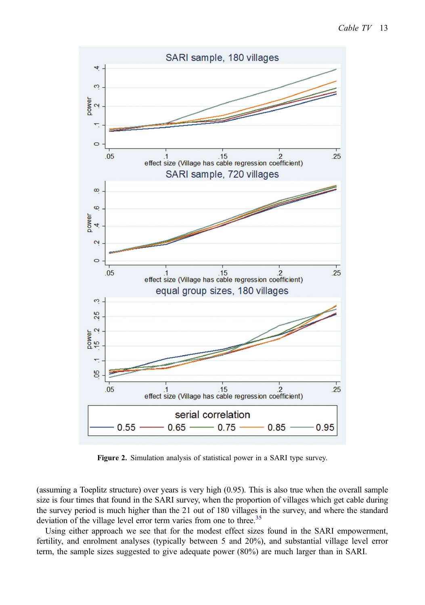<span id="page-13-0"></span>

Figure 2. Simulation analysis of statistical power in a SARI type survey.

(assuming a Toeplitz structure) over years is very high (0.95). This is also true when the overall sample size is four times that found in the SARI survey, when the proportion of villages which get cable during the survey period is much higher than the 21 out of 180 villages in the survey, and where the standard deviation of the village level error term varies from one to three.<sup>[35](#page-19-0)</sup>

Using either approach we see that for the modest effect sizes found in the SARI empowerment, fertility, and enrolment analyses (typically between 5 and 20%), and substantial village level error term, the sample sizes suggested to give adequate power (80%) are much larger than in SARI.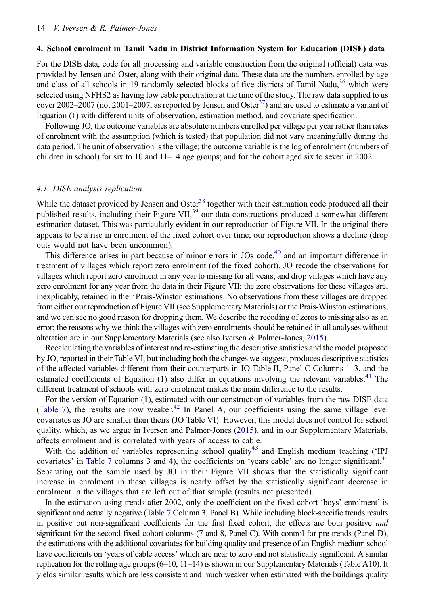## <span id="page-14-0"></span>4. School enrolment in Tamil Nadu in District Information System for Education (DISE) data

For the DISE data, code for all processing and variable construction from the original (official) data was provided by Jensen and Oster, along with their original data. These data are the numbers enrolled by age and class of all schools in 19 randomly selected blocks of five districts of Tamil Nadu,<sup>[36](#page-19-0)</sup> which were selected using NFHS2 as having low cable penetration at the time of the study. The raw data supplied to us cover 2002–2007 (not 2001–2007, as reported by Jensen and Oster<sup>37</sup>) and are used to estimate a variant of Equation (1) with different units of observation, estimation method, and covariate specification.

Following JO, the outcome variables are absolute numbers enrolled per village per year rather than rates of enrolment with the assumption (which is tested) that population did not vary meaningfully during the data period. The unit of observation is the village; the outcome variable is the log of enrolment (numbers of children in school) for six to 10 and 11–14 age groups; and for the cohort aged six to seven in 2002.

#### 4.1. DISE analysis replication

While the dataset provided by Jensen and Oster<sup>[38](#page-19-0)</sup> together with their estimation code produced all their published results, including their Figure VII,<sup>[39](#page-19-0)</sup> our data constructions produced a somewhat different estimation dataset. This was particularly evident in our reproduction of Figure VII. In the original there appears to be a rise in enrolment of the fixed cohort over time; our reproduction shows a decline (drop outs would not have been uncommon).

This difference arises in part because of minor errors in JOs code,<sup>[40](#page-19-0)</sup> and an important difference in treatment of villages which report zero enrolment (of the fixed cohort). JO recode the observations for villages which report zero enrolment in any year to missing for all years, and drop villages which have any zero enrolment for any year from the data in their Figure VII; the zero observations for these villages are, inexplicably, retained in their Prais-Winston estimations. No observations from these villages are dropped from either our reproduction of Figure VII (see Supplementary Materials) or the Prais-Winston estimations, and we can see no good reason for dropping them. We describe the recoding of zeros to missing also as an error; the reasons why we think the villages with zero enrolments should be retained in all analyses without alteration are in our Supplementary Materials (see also Iversen & Palmer-Jones, [2015\)](#page-21-0).

Recalculating the variables of interest and re-estimating the descriptive statistics and the model proposed by JO, reported in their Table VI, but including both the changes we suggest, produces descriptive statistics of the affected variables different from their counterparts in JO Table II, Panel C Columns 1–3, and the estimated coefficients of Equation (1) also differ in equations involving the relevant variables.<sup>41</sup> The different treatment of schools with zero enrolment makes the main difference to the results.

For the version of Equation (1), estimated with our construction of variables from the raw DISE data ([Table 7\)](#page-15-0), the results are now weaker.<sup>[42](#page-19-0)</sup> In Panel A, our coefficients using the same village level covariates as JO are smaller than theirs (JO Table VI). However, this model does not control for school quality, which, as we argue in Iversen and Palmer-Jones ([2015\)](#page-21-0), and in our Supplementary Materials, affects enrolment and is correlated with years of access to cable.

With the addition of variables representing school quality<sup>43</sup> and English medium teaching ( $'IPJ$ covariates' in [Table 7](#page-15-0) columns 3 and 4), the coefficients on 'years cable' are no longer significant.<sup>[44](#page-19-0)</sup> Separating out the sample used by JO in their Figure VII shows that the statistically significant increase in enrolment in these villages is nearly offset by the statistically significant decrease in enrolment in the villages that are left out of that sample (results not presented).

In the estimation using trends after 2002, only the coefficient on the fixed cohort 'boys' enrolment' is significant and actually negative [\(Table 7](#page-15-0) Column 3, Panel B). While including block-specific trends results in positive but non-significant coefficients for the first fixed cohort, the effects are both positive and significant for the second fixed cohort columns (7 and 8, Panel C). With control for pre-trends (Panel D), the estimations with the additional covariates for building quality and presence of an English medium school have coefficients on 'years of cable access' which are near to zero and not statistically significant. A similar replication for the rolling age groups (6–10, 11–14) is shown in our Supplementary Materials (Table A10). It yields similar results which are less consistent and much weaker when estimated with the buildings quality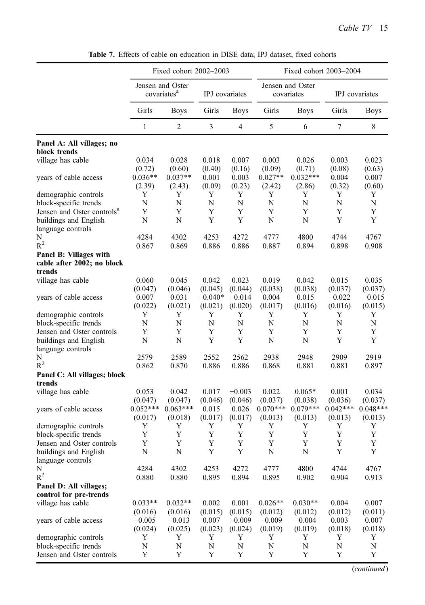<span id="page-15-0"></span>

|                                                      | Fixed cohort 2002-2003 |                                             |                |                | Fixed cohort 2003-2004 |                                |             |                |
|------------------------------------------------------|------------------------|---------------------------------------------|----------------|----------------|------------------------|--------------------------------|-------------|----------------|
|                                                      |                        | Jensen and Oster<br>covariates <sup>a</sup> | IPJ covariates |                |                        | Jensen and Oster<br>covariates |             | IPJ covariates |
|                                                      | Girls                  | <b>Boys</b>                                 | Girls          | <b>Boys</b>    | Girls                  | <b>Boys</b>                    | Girls       | <b>Boys</b>    |
|                                                      | $\mathbf{1}$           | $\overline{2}$                              | 3              | $\overline{4}$ | 5                      | 6                              | 7           | $\,8\,$        |
| Panel A: All villages; no                            |                        |                                             |                |                |                        |                                |             |                |
| block trends                                         |                        |                                             |                |                |                        |                                |             |                |
| village has cable                                    | 0.034                  | 0.028                                       | 0.018          | 0.007          | 0.003                  | 0.026                          | 0.003       | 0.023          |
|                                                      | (0.72)                 | (0.60)                                      | (0.40)         | (0.16)         | (0.09)                 | (0.71)                         | (0.08)      | (0.63)         |
| years of cable access                                | $0.036**$              | $0.037**$                                   | 0.001          | 0.003          | $0.027**$              | $0.032***$                     | 0.004       | 0.007          |
|                                                      | (2.39)                 | (2.43)                                      | (0.09)         | (0.23)         | (2.42)                 | (2.86)                         | (0.32)      | (0.60)         |
| demographic controls                                 | Y                      | Y                                           | Y              | Y              | Y                      | Y                              | Y           | Y              |
| block-specific trends                                | N                      | N                                           | N              | N              | N                      | N                              | N           | N              |
| Jensen and Oster controls <sup>a</sup>               | Y                      | Y                                           | Y              | Y              | Y                      | Y                              | Y           | Y              |
|                                                      | N                      | N                                           | Y              | Y              | N                      | N                              | Y           | Y              |
| buildings and English                                |                        |                                             |                |                |                        |                                |             |                |
| language controls                                    |                        |                                             |                |                |                        |                                |             |                |
| N                                                    | 4284                   | 4302                                        | 4253           | 4272           | 4777                   | 4800                           | 4744        | 4767           |
| $R^2$                                                | 0.867                  | 0.869                                       | 0.886          | 0.886          | 0.887                  | 0.894                          | 0.898       | 0.908          |
| Panel B: Villages with<br>cable after 2002; no block |                        |                                             |                |                |                        |                                |             |                |
| trends                                               |                        |                                             |                |                |                        |                                |             |                |
| village has cable                                    | 0.060                  | 0.045                                       | 0.042          | 0.023          | 0.019                  | 0.042                          | 0.015       | 0.035          |
|                                                      | (0.047)                | (0.046)                                     | (0.045)        | (0.044)        | (0.038)                | (0.038)                        | (0.037)     | (0.037)        |
| years of cable access                                | 0.007                  | 0.031                                       | $-0.040*$      | $-0.014$       | 0.004                  | 0.015                          | $-0.022$    | $-0.015$       |
|                                                      | (0.022)                | (0.021)                                     | (0.021)        | (0.020)        | (0.017)                | (0.016)                        | (0.016)     | (0.015)        |
| demographic controls                                 | Y                      | Y                                           | Y              | Y              | Y                      | Y                              | Y           | Y              |
| block-specific trends                                | N                      | N                                           | N              | N              | N                      | N                              | N           | N              |
| Jensen and Oster controls                            | Y                      | Y                                           | Y              | Y              | Y                      | Y                              | Y           | Y              |
| buildings and English                                | N                      | N                                           | Y              | Y              | N                      | N                              | Y           | Y              |
| language controls                                    |                        |                                             |                |                |                        |                                |             |                |
| Ν                                                    | 2579                   | 2589                                        | 2552           | 2562           | 2938                   | 2948                           | 2909        | 2919           |
| $R^2$                                                | 0.862                  | 0.870                                       | 0.886          | 0.886          | 0.868                  | 0.881                          | 0.881       | 0.897          |
| Panel C: All villages; block                         |                        |                                             |                |                |                        |                                |             |                |
| trends                                               |                        |                                             |                |                |                        |                                |             |                |
|                                                      |                        |                                             |                |                |                        |                                |             |                |
| village has cable                                    | 0.053                  | 0.042                                       | 0.017          | $-0.003$       | 0.022                  | $0.065*$                       | 0.001       | 0.034          |
|                                                      | (0.047)                | (0.047)                                     | (0.046)        | (0.046)        | (0.037)                | (0.038)                        | (0.036)     | (0.037)        |
| years of cable access                                | $0.052***$             | $0.063***$                                  | 0.015          | 0.026          | $0.070***$             | $0.079***$                     | $0.042***$  | $0.048***$     |
|                                                      | (0.017)                | (0.018)                                     | (0.017)        | (0.017)        | (0.013)                | (0.013)                        | (0.013)     | (0.013)        |
| demographic controls                                 | Y                      | Y                                           | Y              | Y              | Y                      | Y                              | Y           | Y              |
| block-specific trends                                | Y                      | Y                                           | Y              | Y              | Y                      | Y                              | Y           | Y              |
| Jensen and Oster controls                            | Y                      | Y                                           | Y              | Y              | Y                      | Y                              | Y           | Y              |
| buildings and English                                | N                      | $\mathbf N$                                 | Y              | Y              | N                      | N                              | Y           | Y              |
| language controls                                    |                        |                                             |                |                |                        |                                |             |                |
| N                                                    | 4284                   | 4302                                        | 4253           | 4272           | 4777                   | 4800                           | 4744        | 4767           |
| $R^2$                                                | 0.880                  | 0.880                                       | 0.895          | 0.894          | 0.895                  | 0.902                          | 0.904       | 0.913          |
| Panel D: All villages;                               |                        |                                             |                |                |                        |                                |             |                |
| control for pre-trends                               |                        |                                             |                |                |                        |                                |             |                |
| village has cable                                    | $0.033**$              | $0.032**$                                   | 0.002          | 0.001          | $0.026**$              | $0.030**$                      | 0.004       | 0.007          |
|                                                      |                        |                                             |                |                |                        |                                |             |                |
|                                                      | (0.016)                | (0.016)                                     | (0.015)        | (0.015)        | (0.012)                | (0.012)                        | (0.012)     | (0.011)        |
| years of cable access                                | $-0.005$               | $-0.013$                                    | 0.007          | $-0.009$       | $-0.009$               | $-0.004$                       | 0.003       | 0.007          |
|                                                      | (0.024)                | (0.025)                                     | (0.023)        | (0.024)        | (0.019)                | (0.019)                        | (0.018)     | (0.018)        |
| demographic controls                                 | Y                      | Y                                           | Y              | Y              | Y                      | Y                              | Y           | Y              |
| block-specific trends                                | $\mathbf N$            | N                                           | N              | ${\bf N}$      | $\mathbf N$            | N                              | $\mathbf N$ | N              |
| Jensen and Oster controls                            | Y                      | Y                                           | Y              | Y              | Y                      | Y                              | Y           | Y              |
|                                                      |                        |                                             |                |                |                        |                                |             |                |

Table 7. Effects of cable on education in DISE data; IPJ dataset, fixed cohorts

(continued)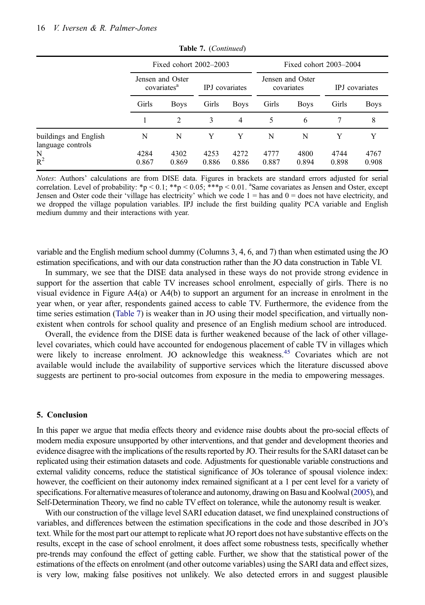|                                            |               | Fixed cohort $2002-2003$                    |               |                       |               | Fixed cohort $2003-2004$       |               |                       |  |
|--------------------------------------------|---------------|---------------------------------------------|---------------|-----------------------|---------------|--------------------------------|---------------|-----------------------|--|
|                                            |               | Jensen and Oster<br>covariates <sup>a</sup> |               | <b>IPJ</b> covariates |               | Jensen and Oster<br>covariates |               | <b>IPJ</b> covariates |  |
|                                            | Girls         | <b>Boys</b>                                 | Girls         | <b>Boys</b>           | Girls         | <b>Boys</b>                    | Girls         | <b>Boys</b>           |  |
|                                            |               | 2                                           | 3             | $\overline{4}$        | 5             | 6                              |               | 8                     |  |
| buildings and English<br>language controls | N             | N                                           | Y             | Y                     | N             | N                              | Y             | Y                     |  |
| N<br>$R^2$                                 | 4284<br>0.867 | 4302<br>0.869                               | 4253<br>0.886 | 4272<br>0.886         | 4777<br>0.887 | 4800<br>0.894                  | 4744<br>0.898 | 4767<br>0.908         |  |

Table 7. (Continued)

Notes: Authors' calculations are from DISE data. Figures in brackets are standard errors adjusted for serial correlation. Level of probability:  $\np < 0.1$ ;  $\nightharpoonup \npightharpoonup 0.05$ ;  $\nightharpoonup \nightharpoonup \npightharpoonup 0.01$ . <sup>a</sup>Same covariates as Jensen and Oster, except Jensen and Oster code their 'village has electricity' which we code  $1 =$  has and  $0 =$  does not have electricity, and we dropped the village population variables. IPJ include the first building quality PCA variable and English medium dummy and their interactions with year.

variable and the English medium school dummy (Columns 3, 4, 6, and 7) than when estimated using the JO estimation specifications, and with our data construction rather than the JO data construction in Table VI.

In summary, we see that the DISE data analysed in these ways do not provide strong evidence in support for the assertion that cable TV increases school enrolment, especially of girls. There is no visual evidence in Figure A4(a) or A4(b) to support an argument for an increase in enrolment in the year when, or year after, respondents gained access to cable TV. Furthermore, the evidence from the time series estimation [\(Table 7\)](#page-15-0) is weaker than in JO using their model specification, and virtually nonexistent when controls for school quality and presence of an English medium school are introduced.

Overall, the evidence from the DISE data is further weakened because of the lack of other villagelevel covariates, which could have accounted for endogenous placement of cable TV in villages which were likely to increase enrolment. JO acknowledge this weakness.<sup>[45](#page-20-0)</sup> Covariates which are not available would include the availability of supportive services which the literature discussed above suggests are pertinent to pro-social outcomes from exposure in the media to empowering messages.

## 5. Conclusion

In this paper we argue that media effects theory and evidence raise doubts about the pro-social effects of modern media exposure unsupported by other interventions, and that gender and development theories and evidence disagree with the implications of the results reported by JO. Their results for the SARI dataset can be replicated using their estimation datasets and code. Adjustments for questionable variable constructions and external validity concerns, reduce the statistical significance of JOs tolerance of spousal violence index: however, the coefficient on their autonomy index remained significant at a 1 per cent level for a variety of specifications. For alternative measures of tolerance and autonomy, drawing on Basu and Koolwal ([2005\)](#page-20-0), and Self-Determination Theory, we find no cable TV effect on tolerance, while the autonomy result is weaker.

With our construction of the village level SARI education dataset, we find unexplained constructions of variables, and differences between the estimation specifications in the code and those described in JO's text. While for the most part our attempt to replicate what JO report does not have substantive effects on the results, except in the case of school enrolment, it does affect some robustness tests, specifically whether pre-trends may confound the effect of getting cable. Further, we show that the statistical power of the estimations of the effects on enrolment (and other outcome variables) using the SARI data and effect sizes, is very low, making false positives not unlikely. We also detected errors in and suggest plausible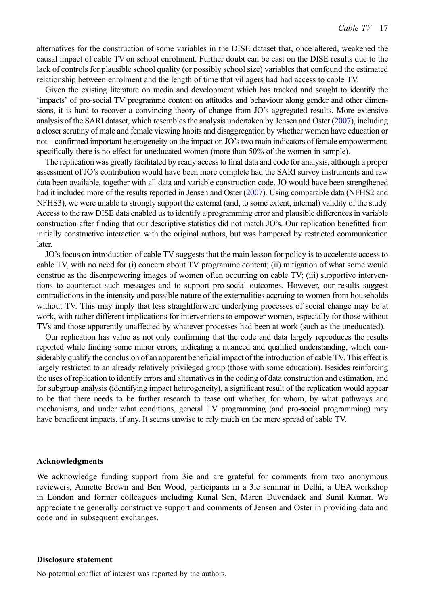alternatives for the construction of some variables in the DISE dataset that, once altered, weakened the causal impact of cable TV on school enrolment. Further doubt can be cast on the DISE results due to the lack of controls for plausible school quality (or possibly school size) variables that confound the estimated relationship between enrolment and the length of time that villagers had had access to cable TV.

Given the existing literature on media and development which has tracked and sought to identify the 'impacts' of pro-social TV programme content on attitudes and behaviour along gender and other dimensions, it is hard to recover a convincing theory of change from JO's aggregated results. More extensive analysis of the SARI dataset, which resembles the analysis undertaken by Jensen and Oster [\(2007](#page-21-0)), including a closer scrutiny of male and female viewing habits and disaggregation by whether women have education or not – confirmed important heterogeneity on the impact on JO's two main indicators of female empowerment; specifically there is no effect for uneducated women (more than 50% of the women in sample).

The replication was greatly facilitated by ready access to final data and code for analysis, although a proper assessment of JO's contribution would have been more complete had the SARI survey instruments and raw data been available, together with all data and variable construction code. JO would have been strengthened had it included more of the results reported in Jensen and Oster ([2007\)](#page-21-0). Using comparable data (NFHS2 and NFHS3), we were unable to strongly support the external (and, to some extent, internal) validity of the study. Access to the raw DISE data enabled us to identify a programming error and plausible differences in variable construction after finding that our descriptive statistics did not match JO's. Our replication benefitted from initially constructive interaction with the original authors, but was hampered by restricted communication later.

JO's focus on introduction of cable TV suggests that the main lesson for policy is to accelerate access to cable TV, with no need for (i) concern about TV programme content; (ii) mitigation of what some would construe as the disempowering images of women often occurring on cable TV; (iii) supportive interventions to counteract such messages and to support pro-social outcomes. However, our results suggest contradictions in the intensity and possible nature of the externalities accruing to women from households without TV. This may imply that less straightforward underlying processes of social change may be at work, with rather different implications for interventions to empower women, especially for those without TVs and those apparently unaffected by whatever processes had been at work (such as the uneducated).

Our replication has value as not only confirming that the code and data largely reproduces the results reported while finding some minor errors, indicating a nuanced and qualified understanding, which considerably qualify the conclusion of an apparent beneficial impact of the introduction of cable TV. This effect is largely restricted to an already relatively privileged group (those with some education). Besides reinforcing the uses of replication to identify errors and alternatives in the coding of data construction and estimation, and for subgroup analysis (identifying impact heterogeneity), a significant result of the replication would appear to be that there needs to be further research to tease out whether, for whom, by what pathways and mechanisms, and under what conditions, general TV programming (and pro-social programming) may have beneficent impacts, if any. It seems unwise to rely much on the mere spread of cable TV.

## Acknowledgments

We acknowledge funding support from 3ie and are grateful for comments from two anonymous reviewers, Annette Brown and Ben Wood, participants in a 3ie seminar in Delhi, a UEA workshop in London and former colleagues including Kunal Sen, Maren Duvendack and Sunil Kumar. We appreciate the generally constructive support and comments of Jensen and Oster in providing data and code and in subsequent exchanges.

## Disclosure statement

No potential conflict of interest was reported by the authors.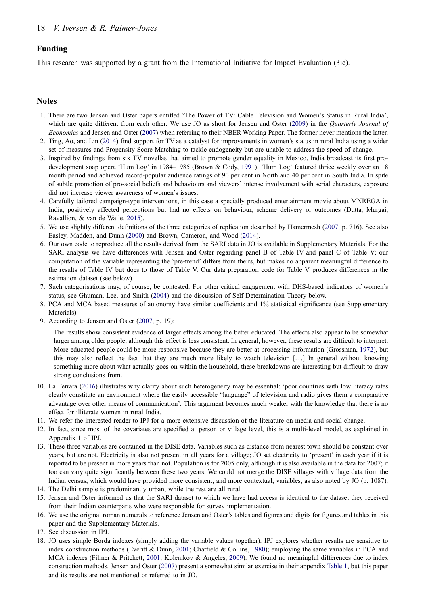## <span id="page-18-0"></span>Funding

This research was supported by a grant from the International Initiative for Impact Evaluation (3ie).

## **Notes**

- 1. There are two Jensen and Oster papers entitled 'The Power of TV: Cable Television and Women's Status in Rural India', which are quite different from each other. We use JO as short for Jensen and Oster ([2009\)](#page-21-0) in the Quarterly Journal of Economics and Jensen and Oster [\(2007\)](#page-21-0) when referring to their NBER Working Paper. The former never mentions the latter.
- 2. Ting, Ao, and Lin [\(2014\)](#page-21-0) find support for TV as a catalyst for improvements in women's status in rural India using a wider set of measures and Propensity Score Matching to tackle endogeneity but are unable to address the speed of change.
- 3. Inspired by findings from six TV novellas that aimed to promote gender equality in Mexico, India broadcast its first prodevelopment soap opera 'Hum Log' in 1984–1985 (Brown & Cody, [1991\)](#page-20-0). 'Hum Log' featured thrice weekly over an 18 month period and achieved record-popular audience ratings of 90 per cent in North and 40 per cent in South India. In spite of subtle promotion of pro-social beliefs and behaviours and viewers' intense involvement with serial characters, exposure did not increase viewer awareness of women's issues.
- 4. Carefully tailored campaign-type interventions, in this case a specially produced entertainment movie about MNREGA in India, positively affected perceptions but had no effects on behaviour, scheme delivery or outcomes (Dutta, Murgai, Ravallion, & van de Walle, [2015](#page-20-0)).
- 5. We use slightly different definitions of the three categories of replication described by Hamermesh ([2007,](#page-20-0) p. 716). See also Easley, Madden, and Dunn ([2000\)](#page-20-0) and Brown, Cameron, and Wood ([2014\)](#page-20-0).
- 6. Our own code to reproduce all the results derived from the SARI data in JO is available in Supplementary Materials. For the SARI analysis we have differences with Jensen and Oster regarding panel B of Table IV and panel C of Table V; our computation of the variable representing the 'pre-trend' differs from theirs, but makes no apparent meaningful difference to the results of Table IV but does to those of Table V. Our data preparation code for Table V produces differences in the estimation dataset (see below).
- 7. Such categorisations may, of course, be contested. For other critical engagement with DHS-based indicators of women's status, see Ghuman, Lee, and Smith ([2004\)](#page-20-0) and the discussion of Self Determination Theory below.
- 8. PCA and MCA based measures of autonomy have similar coefficients and 1% statistical significance (see Supplementary Materials).
- 9. According to Jensen and Oster [\(2007,](#page-21-0) p. 19):

The results show consistent evidence of larger effects among the better educated. The effects also appear to be somewhat larger among older people, although this effect is less consistent. In general, however, these results are difficult to interpret. More educated people could be more responsive because they are better at processing information (Grossman, [1972\)](#page-20-0), but this may also reflect the fact that they are much more likely to watch television [. . .] In general without knowing something more about what actually goes on within the household, these breakdowns are interesting but difficult to draw strong conclusions from.

- 10. La Ferrara ([2016\)](#page-21-0) illustrates why clarity about such heterogeneity may be essential: 'poor countries with low literacy rates clearly constitute an environment where the easily accessible "language" of television and radio gives them a comparative advantage over other means of communication'. This argument becomes much weaker with the knowledge that there is no effect for illiterate women in rural India.
- 11. We refer the interested reader to IPJ for a more extensive discussion of the literature on media and social change.
- 12. In fact, since most of the covariates are specified at person or village level, this is a multi-level model, as explained in Appendix 1 of IPJ.
- 13. These three variables are contained in the DISE data. Variables such as distance from nearest town should be constant over years, but are not. Electricity is also not present in all years for a village; JO set electricity to 'present' in each year if it is reported to be present in more years than not. Population is for 2005 only, although it is also available in the data for 2007; it too can vary quite significantly between these two years. We could not merge the DISE villages with village data from the Indian census, which would have provided more consistent, and more contextual, variables, as also noted by JO (p. 1087).
- 14. The Delhi sample is predominantly urban, while the rest are all rural.
- 15. Jensen and Oster informed us that the SARI dataset to which we have had access is identical to the dataset they received from their Indian counterparts who were responsible for survey implementation.
- 16. We use the original roman numerals to reference Jensen and Oster's tables and figures and digits for figures and tables in this paper and the Supplementary Materials.
- 17. See discussion in IPJ.
- 18. JO uses simple Borda indexes (simply adding the variable values together). IPJ explores whether results are sensitive to index construction methods (Everitt & Dunn, [2001;](#page-20-0) Chatfield & Collins, [1980\)](#page-20-0); employing the same variables in PCA and MCA indexes (Filmer & Pritchett, [2001](#page-20-0); Kolenikov & Angeles, [2009](#page-21-0)). We found no meaningful differences due to index construction methods. Jensen and Oster ([2007\)](#page-21-0) present a somewhat similar exercise in their appendix [Table 1](#page-5-0), but this paper and its results are not mentioned or referred to in JO.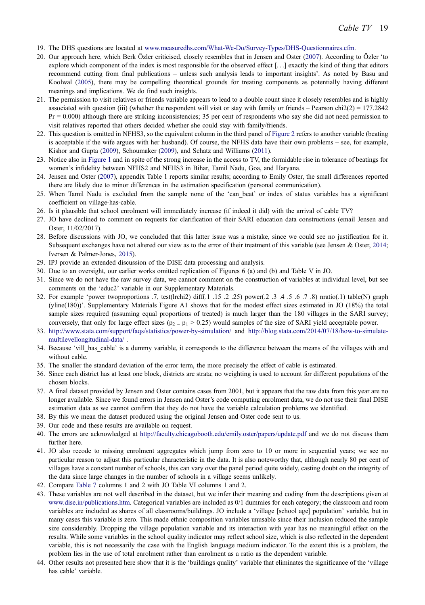- <span id="page-19-0"></span>19. The DHS questions are located at [www.measuredhs.com/What-We-Do/Survey-Types/DHS-Questionnaires.cfm](http://www.measuredhs.com/What-We-Do/Survey-Types/DHS-Questionnaires.cfm).
- 20. Our approach here, which Berk Özler criticised, closely resembles that in Jensen and Oster ([2007\)](#page-21-0). According to Özler 'to explore which component of the index is most responsible for the observed effect [. . .] exactly the kind of thing that editors recommend cutting from final publications – unless such analysis leads to important insights'. As noted by Basu and Koolwal [\(2005\)](#page-20-0), there may be compelling theoretical grounds for treating components as potentially having different meanings and implications. We do find such insights.
- 21. The permission to visit relatives or friends variable appears to lead to a double count since it closely resembles and is highly associated with question (iii) (whether the respondent will visit or stay with family or friends – Pearson chi $2(2) = 177.2842$  $Pr = 0.000$  although there are striking inconsistencies; 35 per cent of respondents who say she did not need permission to visit relatives reported that others decided whether she could stay with family/friends.
- 22. This question is omitted in NFHS3, so the equivalent column in the third panel of [Figure 2](#page-13-0) refers to another variable (beating is acceptable if the wife argues with her husband). Of course, the NFHS data have their own problems – see, for example, Kishor and Gupta [\(2009\)](#page-21-0), Schoumaker ([2009\)](#page-21-0), and Schatz and Williams [\(2011\)](#page-21-0).
- 23. Notice also in [Figure 1](#page-6-0) and in spite of the strong increase in the access to TV, the formidable rise in tolerance of beatings for women's infidelity between NFHS2 and NFHS3 in Bihar, Tamil Nadu, Goa, and Haryana.
- 24. Jensen and Oster [\(2007\)](#page-21-0), appendix Table 1 reports similar results; according to Emily Oster, the small differences reported there are likely due to minor differences in the estimation specification (personal communication).
- 25. When Tamil Nadu is excluded from the sample none of the 'can\_beat' or index of status variables has a significant coefficient on village-has-cable.
- 26. Is it plausible that school enrolment will immediately increase (if indeed it did) with the arrival of cable TV?
- 27. JO have declined to comment on requests for clarification of their SARI education data constructions (email Jensen and Oster, 11/02/2017).
- 28. Before discussions with JO, we concluded that this latter issue was a mistake, since we could see no justification for it. Subsequent exchanges have not altered our view as to the error of their treatment of this variable (see Jensen & Oster, [2014;](#page-21-0) Iversen & Palmer-Jones, [2015\)](#page-21-0).
- 29. IPJ provide an extended discussion of the DISE data processing and analysis.
- 30. Due to an oversight, our earlier works omitted replication of Figures 6 (a) and (b) and Table V in JO.
- 31. Since we do not have the raw survey data, we cannot comment on the construction of variables at individual level, but see comments on the 'educ2' variable in our Supplementary Materials.
- 32. For example 'power twoproportions .7, test(lrchi2) diff(.1 .15 .2 .25) power(.2 .3 .4 .5 .6 .7 .8) nratio(.1) table(N) graph (yline(180))'. Supplementary Materials Figure A1 shows that for the modest effect sizes estimated in JO (18%) the total sample sizes required (assuming equal proportions of treated) is much larger than the 180 villages in the SARI survey; conversely, that only for large effect sizes ( $p_2 - p_1 > 0.25$ ) would samples of the size of SARI yield acceptable power.
- 33. <http://www.stata.com/support/faqs/statistics/power-by-simulation/> and [http://blog.stata.com/2014/07/18/how-to-simulate](http://blog.stata.com/2014/07/18/how-to-simulate-multilevellongitudinal-data/)[multilevellongitudinal-data/](http://blog.stata.com/2014/07/18/how-to-simulate-multilevellongitudinal-data/) .
- 34. Because 'vill has cable' is a dummy variable, it corresponds to the difference between the means of the villages with and without cable.
- 35. The smaller the standard deviation of the error term, the more precisely the effect of cable is estimated.
- 36. Since each district has at least one block, districts are strata; no weighting is used to account for different populations of the chosen blocks.
- 37. A final dataset provided by Jensen and Oster contains cases from 2001, but it appears that the raw data from this year are no longer available. Since we found errors in Jensen and Oster's code computing enrolment data, we do not use their final DISE estimation data as we cannot confirm that they do not have the variable calculation problems we identified.
- 38. By this we mean the dataset produced using the original Jensen and Oster code sent to us.
- 39. Our code and these results are available on request.
- 40. The errors are acknowledged at <http://faculty.chicagobooth.edu/emily.oster/papers/update.pdf> and we do not discuss them further here.
- 41. JO also recode to missing enrolment aggregates which jump from zero to 10 or more in sequential years; we see no particular reason to adjust this particular characteristic in the data. It is also noteworthy that, although nearly 80 per cent of villages have a constant number of schools, this can vary over the panel period quite widely, casting doubt on the integrity of the data since large changes in the number of schools in a village seems unlikely.
- 42. Compare [Table 7](#page-15-0) columns 1 and 2 with JO Table VI columns 1 and 2.
- 43. These variables are not well described in the dataset, but we infer their meaning and coding from the descriptions given at [www.dise.in/publications.htm.](http://www.dise.in/publications.htm) Categorical variables are included as 0/1 dummies for each category; the classroom and room variables are included as shares of all classrooms/buildings. JO include a 'village [school age] population' variable, but in many cases this variable is zero. This made ethnic composition variables unusable since their inclusion reduced the sample size considerably. Dropping the village population variable and its interaction with year has no meaningful effect on the results. While some variables in the school quality indicator may reflect school size, which is also reflected in the dependent variable, this is not necessarily the case with the English language medium indicator. To the extent this is a problem, the problem lies in the use of total enrolment rather than enrolment as a ratio as the dependent variable.
- 44. Other results not presented here show that it is the 'buildings quality' variable that eliminates the significance of the 'village has cable' variable.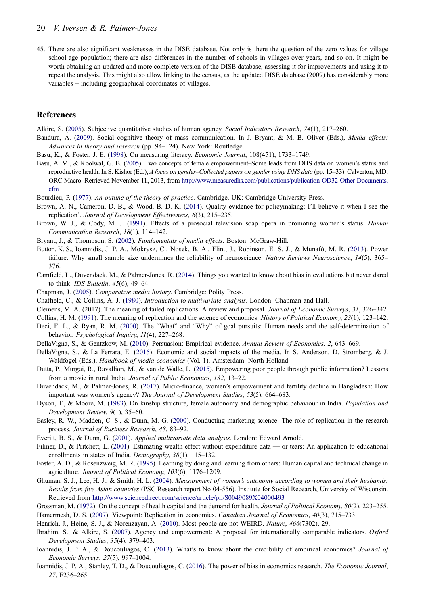#### <span id="page-20-0"></span>20 V. Iversen & R. Palmer-Jones

45. There are also significant weaknesses in the DISE database. Not only is there the question of the zero values for village school-age population; there are also differences in the number of schools in villages over years, and so on. It might be worth obtaining an updated and more complete version of the DISE database, assessing it for improvements and using it to repeat the analysis. This might also allow linking to the census, as the updated DISE database (2009) has considerably more variables – including geographical coordinates of villages.

## References

Alkire, S. ([2005\)](#page-8-0). Subjective quantitative studies of human agency. Social Indicators Research, 74(1), 217–260.

- Bandura, A. ([2009\)](#page-8-0). Social cognitive theory of mass communication. In J. Bryant, & M. B. Oliver (Eds.), Media effects: Advances in theory and research (pp. 94-124). New York: Routledge.
- Basu, K., & Foster, J. E. ([1998\)](#page-9-0). On measuring literacy. Economic Journal, 108(451), 1733–1749.
- Basu, A. M., & Koolwal, G. B. [\(2005](#page-1-0)). Two concepts of female empowerment–Some leads from DHS data on women's status and reproductive health. In S. Kishor (Ed.), A focus on gender-Collected papers on gender using DHS data (pp. 15–33). Calverton, MD: ORC Macro. Retrieved November 11, 2013, from [http://www.measuredhs.com/publications/publication-OD32-Other-Documents.](http://www.measuredhs.com/publications/publication-OD32-Other-Documents.cfm) [cfm](http://www.measuredhs.com/publications/publication-OD32-Other-Documents.cfm)
- Bourdieu, P. [\(1977](#page-1-0)). An outline of the theory of practice. Cambridge, UK: Cambridge University Press.
- Brown, A. N., Cameron, D. B., & Wood, B. D. K. ([2014\)](#page-18-0). Quality evidence for policymaking: I'll believe it when I see the replication'. Journal of Development Effectiveness, 6(3), 215–235.
- Brown, W. J., & Cody, M. J. [\(1991](#page-18-0)). Effects of a prosocial television soap opera in promoting women's status. *Human* Communication Research, 18(1), 114–142.
- Bryant, J., & Thompson, S. [\(2002\)](#page-2-0). Fundamentals of media effects. Boston: McGraw-Hill.
- Button, K. S., Ioannidis, J. P. A., Mokrysz, C., Nosek, B. A., Flint, J., Robinson, E. S. J., & Munafò, M. R. ([2013\)](#page-4-0). Power failure: Why small sample size undermines the reliability of neuroscience. Nature Reviews Neuroscience, 14(5), 365– 376.
- Camfield, L., Duvendack, M., & Palmer-Jones, R. ([2014\)](#page-11-0). Things you wanted to know about bias in evaluations but never dared to think. IDS Bulletin, 45(6), 49–64.
- Chapman, J. ([2005\)](#page-2-0). Comparative media history. Cambridge: Polity Press.
- Chatfield, C., & Collins, A. J. ([1980\)](#page-18-0). Introduction to multivariate analysis. London: Chapman and Hall.
- Clemens, M. A. (2017). The meaning of failed replications: A review and proposal. Journal of Economic Surveys, 31, 326–342.
- Collins, H. M. [\(1991](#page-2-0)). The meaning of replication and the science of economics. *History of Political Economy*, 23(1), 123–142.
- Deci, E. L., & Ryan, R. M. [\(2000](#page-8-0)). The "What" and "Why" of goal pursuits: Human needs and the self-determination of behavior. Psychological Inquiry, 11(4), 227–268.
- DellaVigna, S., & Gentzkow, M. ([2010](#page-2-0)). Persuasion: Empirical evidence. Annual Review of Economics, 2, 643-669.
- DellaVigna, S., & La Ferrara, E. [\(2015\)](#page-2-0). Economic and social impacts of the media. In S. Anderson, D. Stromberg, & J. Waldfogel (Eds.), Handbook of media economics (Vol. 1). Amsterdam: North-Holland.
- Dutta, P., Murgai, R., Ravallion, M., & van de Walle, L. ([2015](#page-18-0)). Empowering poor people through public information? Lessons from a movie in rural India. Journal of Public Economics, 132, 13–22.
- Duvendack, M., & Palmer-Jones, R. [\(2017](#page-8-0)). Micro-finance, women's empowerment and fertility decline in Bangladesh: How important was women's agency? The Journal of Development Studies, 53(5), 664–683.
- Dyson, T., & Moore, M. ([1983](#page-1-0)). On kinship structure, female autonomy and demographic behaviour in India. Population and Development Review, 9(1), 35–60.
- Easley, R. W., Madden, C. S., & Dunn, M. G. ([2000\)](#page-18-0). Conducting marketing science: The role of replication in the research process. Journal of Business Research, 48, 83–92.
- Everitt, B. S., & Dunn, G. [\(2001](#page-18-0)). Applied multivariate data analysis. London: Edward Arnold.
- Filmer, D., & Pritchett, L. ([2001](#page-18-0)). Estimating wealth effect without expenditure data or tears: An application to educational enrollments in states of India. Demography, 38(1), 115–132.
- Foster, A. D., & Rosenzweig, M. R. ([1995\)](#page-1-0). Learning by doing and learning from others: Human capital and technical change in agriculture. Journal of Political Economy, 103(6), 1176–1209.
- Ghuman, S. J., Lee, H. J., & Smith, H. L. ([2004\)](#page-18-0). Measurement of women's autonomy according to women and their husbands: Results from five Asian countries (PSC Research report No 04-556). Institute for Social Recearch, University of Wisconsin. Retrieved from <http://www.sciencedirect.com/science/article/pii/S0049089X04000493>

Grossman, M. [\(1972\)](#page-18-0). On the concept of health capital and the demand for health. Journal of Political Economy, 80(2), 223-255.

- Hamermesh, D. S. [\(2007\)](#page-2-0). Viewpoint: Replication in economics. Canadian Journal of Economics, 40(3), 715–733.
- Henrich, J., Heine, S. J., & Norenzayan, A. ([2010](#page-8-0)). Most people are not WEIRD. Nature, 466(7302), 29.
- Ibrahim, S., & Alkire, S. [\(2007](#page-8-0)). Agency and empowerment: A proposal for internationally comparable indicators. Oxford Development Studies, 35(4), 379–403.
- Ioannidis, J. P. A., & Doucouliagos, C. [\(2013](#page-4-0)). What's to know about the credibility of empirical economics? Journal of Economic Surveys, 27(5), 997–1004.
- Ioannidis, J. P. A., Stanley, T. D., & Doucouliagos, C. [\(2016](#page-4-0)). The power of bias in economics research. The Economic Journal, 27, F236–265.